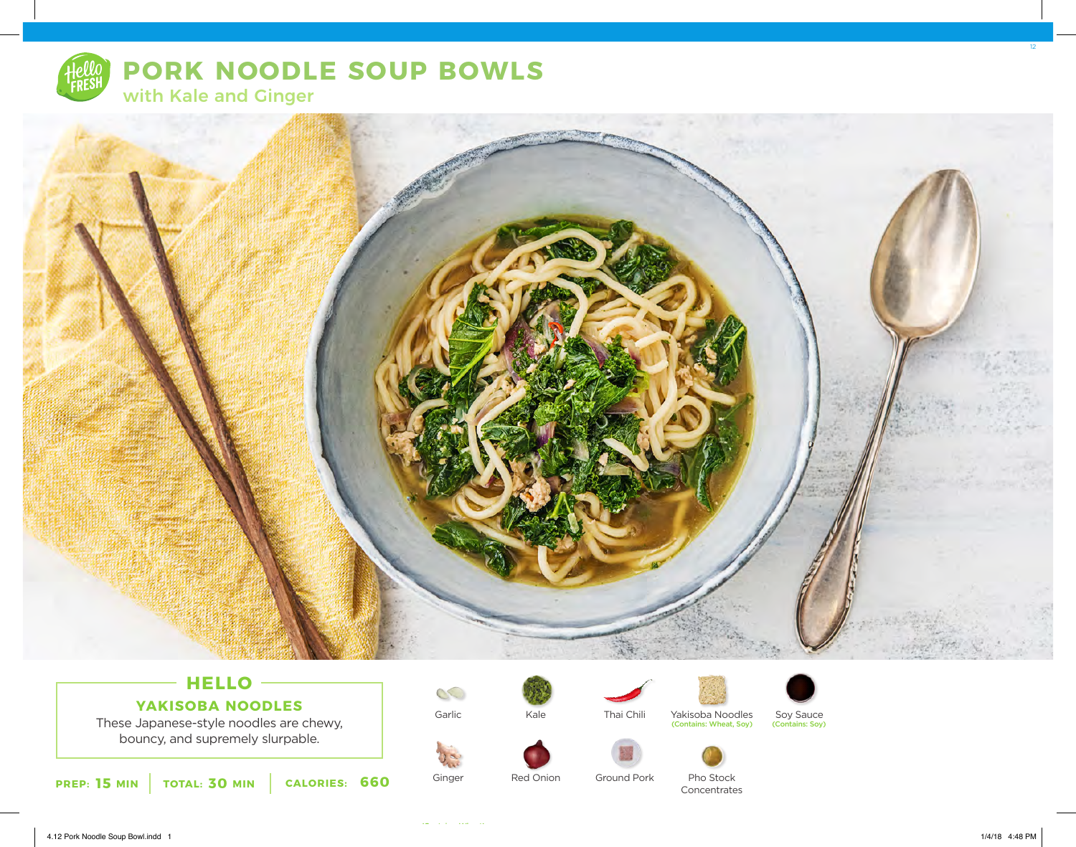

# **PORK NOODLE SOUP BOWLS** with Kale and Ginger



## **HELLO YAKISOBA NOODLES**

These Japanese-style noodles are chewy, bouncy, and supremely slurpable.

**15** MIN | TOTAL: **30** MIN | CALORIES: 660

S Garlic

Ginger





Red Onion



Ground Pork

Thai Chili Yakisoba Noodles Soy Sauce<br>Contains: Wheat, Soy) (Contains: Soy)





Pho Stock

**Concentrates** 

12